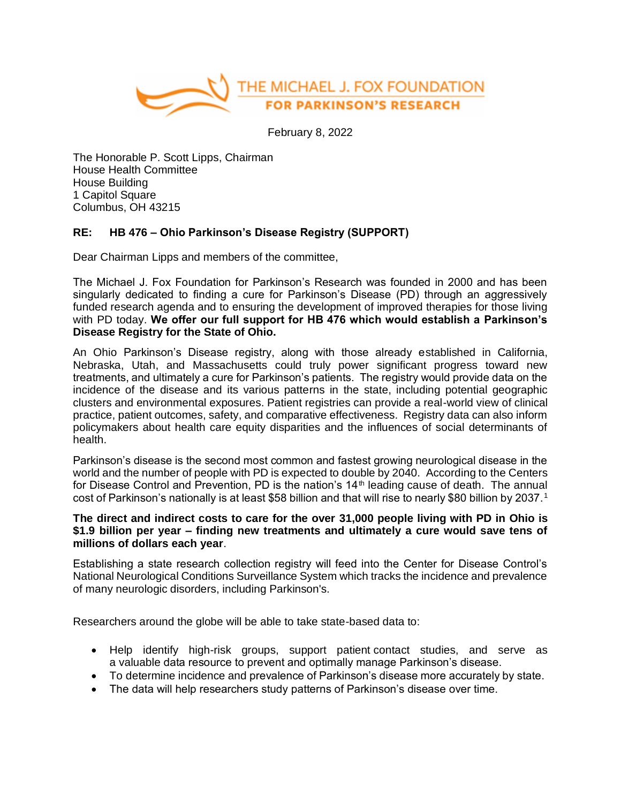

February 8, 2022

The Honorable P. Scott Lipps, Chairman House Health Committee House Building 1 Capitol Square Columbus, OH 43215

## **RE: HB 476 – Ohio Parkinson's Disease Registry (SUPPORT)**

Dear Chairman Lipps and members of the committee,

The Michael J. Fox Foundation for Parkinson's Research was founded in 2000 and has been singularly dedicated to finding a cure for Parkinson's Disease (PD) through an aggressively funded research agenda and to ensuring the development of improved therapies for those living with PD today. **We offer our full support for HB 476 which would establish a Parkinson's Disease Registry for the State of Ohio.**

An Ohio Parkinson's Disease registry, along with those already established in California, Nebraska, Utah, and Massachusetts could truly power significant progress toward new treatments, and ultimately a cure for Parkinson's patients. The registry would provide data on the incidence of the disease and its various patterns in the state, including potential geographic clusters and environmental exposures. Patient registries can provide a real-world view of clinical practice, patient outcomes, safety, and comparative effectiveness. Registry data can also inform policymakers about health care equity disparities and the influences of social determinants of health.

Parkinson's disease is the second most common and fastest growing neurological disease in the world and the number of people with PD is expected to double by 2040. According to the Centers for Disease Control and Prevention, PD is the nation's 14<sup>th</sup> leading cause of death. The annual cost of Parkinson's nationally is at least \$58 billion and that will rise to nearly \$80 billion by 2037.1

## **The direct and indirect costs to care for the over 31,000 people living with PD in Ohio is \$1.9 billion per year – finding new treatments and ultimately a cure would save tens of millions of dollars each year**.

Establishing a state research collection registry will feed into the Center for Disease Control's National Neurological Conditions Surveillance System which tracks the incidence and prevalence of many neurologic disorders, including Parkinson's.

Researchers around the globe will be able to take state-based data to:

- Help identify high-risk groups, support patient contact studies, and serve as a valuable data resource to prevent and optimally manage Parkinson's disease.
- To determine incidence and prevalence of Parkinson's disease more accurately by state.
- The data will help researchers study patterns of Parkinson's disease over time.